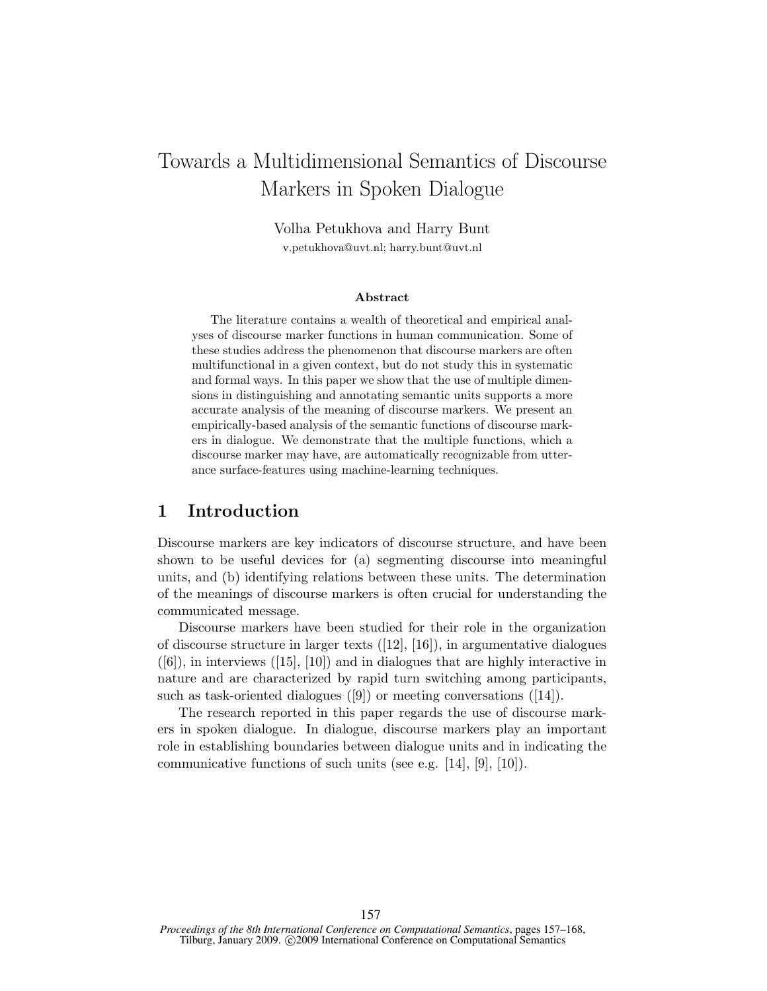# Towards a Multidimensional Semantics of Discourse Markers in Spoken Dialogue

Volha Petukhova and Harry Bunt v.petukhova@uvt.nl; harry.bunt@uvt.nl

#### Abstract

The literature contains a wealth of theoretical and empirical analyses of discourse marker functions in human communication. Some of these studies address the phenomenon that discourse markers are often multifunctional in a given context, but do not study this in systematic and formal ways. In this paper we show that the use of multiple dimensions in distinguishing and annotating semantic units supports a more accurate analysis of the meaning of discourse markers. We present an empirically-based analysis of the semantic functions of discourse markers in dialogue. We demonstrate that the multiple functions, which a discourse marker may have, are automatically recognizable from utterance surface-features using machine-learning techniques.

## 1 Introduction

Discourse markers are key indicators of discourse structure, and have been shown to be useful devices for (a) segmenting discourse into meaningful units, and (b) identifying relations between these units. The determination of the meanings of discourse markers is often crucial for understanding the communicated message.

Discourse markers have been studied for their role in the organization of discourse structure in larger texts  $([12], [16])$ , in argumentative dialogues  $([6])$ , in interviews  $([15], [10])$  and in dialogues that are highly interactive in nature and are characterized by rapid turn switching among participants, such as task-oriented dialogues ([9]) or meeting conversations ([14]).

The research reported in this paper regards the use of discourse markers in spoken dialogue. In dialogue, discourse markers play an important role in establishing boundaries between dialogue units and in indicating the communicative functions of such units (see e.g. [14], [9], [10]).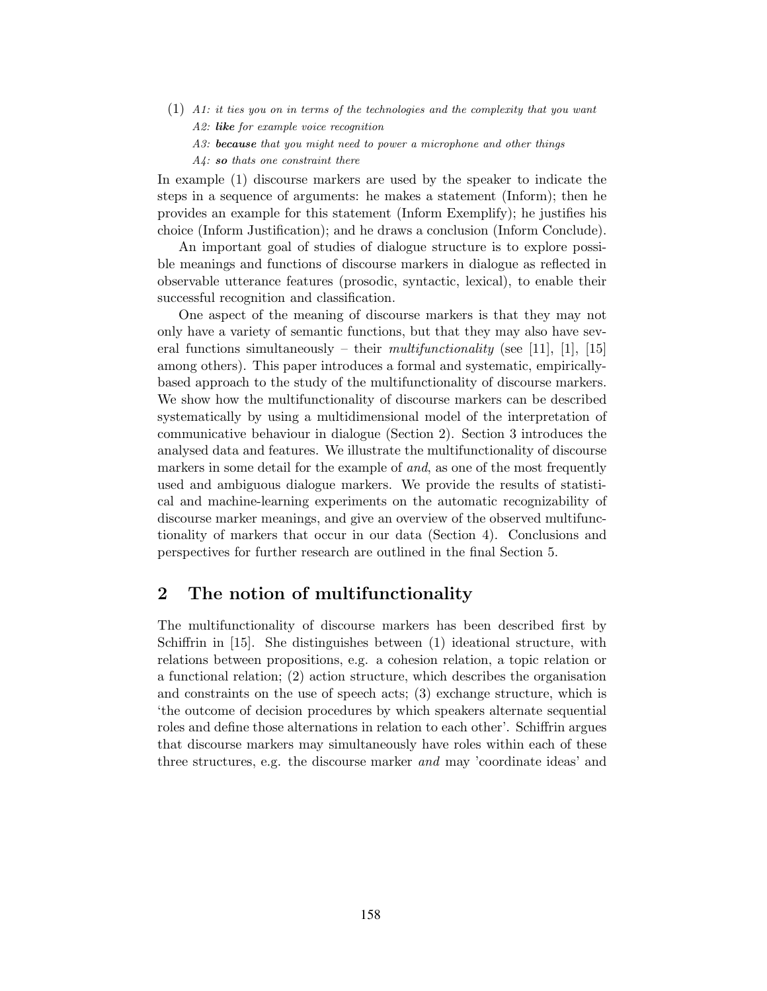- (1) A1: it ties you on in terms of the technologies and the complexity that you want A2: like for example voice recognition
	- A3: **because** that you might need to power a microphone and other things
	- A4: so thats one constraint there

In example (1) discourse markers are used by the speaker to indicate the steps in a sequence of arguments: he makes a statement (Inform); then he provides an example for this statement (Inform Exemplify); he justifies his choice (Inform Justification); and he draws a conclusion (Inform Conclude).

An important goal of studies of dialogue structure is to explore possible meanings and functions of discourse markers in dialogue as reflected in observable utterance features (prosodic, syntactic, lexical), to enable their successful recognition and classification.

One aspect of the meaning of discourse markers is that they may not only have a variety of semantic functions, but that they may also have several functions simultaneously – their *multifunctionality* (see [11], [1], [15] among others). This paper introduces a formal and systematic, empiricallybased approach to the study of the multifunctionality of discourse markers. We show how the multifunctionality of discourse markers can be described systematically by using a multidimensional model of the interpretation of communicative behaviour in dialogue (Section 2). Section 3 introduces the analysed data and features. We illustrate the multifunctionality of discourse markers in some detail for the example of and, as one of the most frequently used and ambiguous dialogue markers. We provide the results of statistical and machine-learning experiments on the automatic recognizability of discourse marker meanings, and give an overview of the observed multifunctionality of markers that occur in our data (Section 4). Conclusions and perspectives for further research are outlined in the final Section 5.

## 2 The notion of multifunctionality

The multifunctionality of discourse markers has been described first by Schiffrin in [15]. She distinguishes between (1) ideational structure, with relations between propositions, e.g. a cohesion relation, a topic relation or a functional relation; (2) action structure, which describes the organisation and constraints on the use of speech acts; (3) exchange structure, which is 'the outcome of decision procedures by which speakers alternate sequential roles and define those alternations in relation to each other'. Schiffrin argues that discourse markers may simultaneously have roles within each of these three structures, e.g. the discourse marker *and* may 'coordinate ideas' and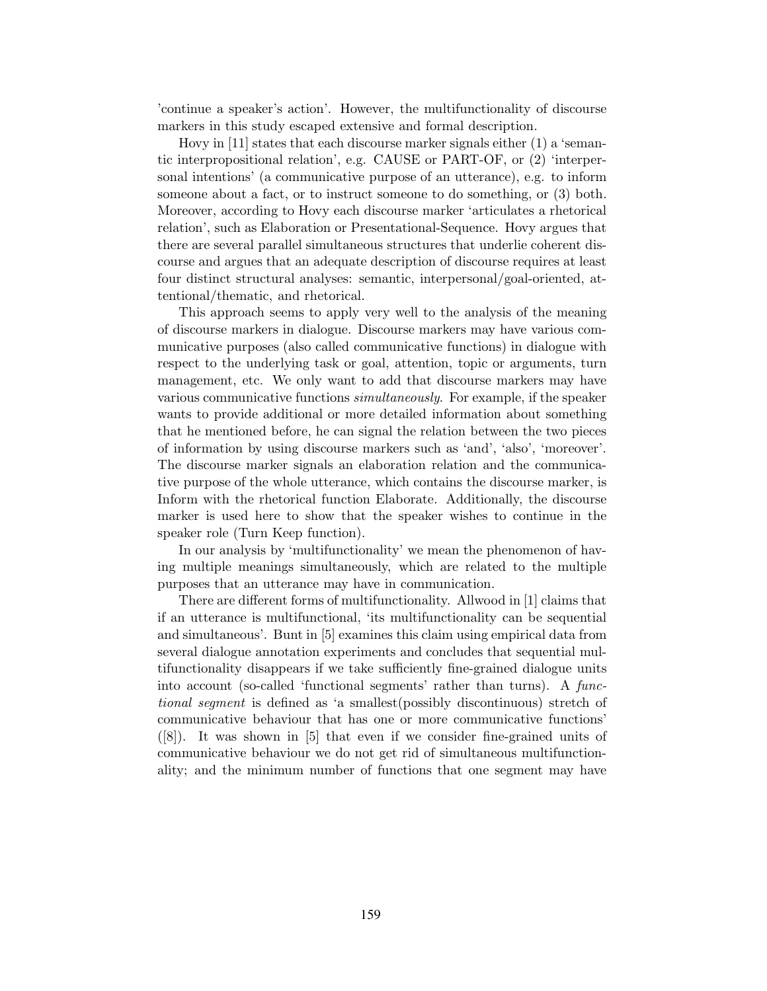'continue a speaker's action'. However, the multifunctionality of discourse markers in this study escaped extensive and formal description.

Hovy in [11] states that each discourse marker signals either (1) a 'semantic interpropositional relation', e.g. CAUSE or PART-OF, or (2) 'interpersonal intentions' (a communicative purpose of an utterance), e.g. to inform someone about a fact, or to instruct someone to do something, or (3) both. Moreover, according to Hovy each discourse marker 'articulates a rhetorical relation', such as Elaboration or Presentational-Sequence. Hovy argues that there are several parallel simultaneous structures that underlie coherent discourse and argues that an adequate description of discourse requires at least four distinct structural analyses: semantic, interpersonal/goal-oriented, attentional/thematic, and rhetorical.

This approach seems to apply very well to the analysis of the meaning of discourse markers in dialogue. Discourse markers may have various communicative purposes (also called communicative functions) in dialogue with respect to the underlying task or goal, attention, topic or arguments, turn management, etc. We only want to add that discourse markers may have various communicative functions *simultaneously*. For example, if the speaker wants to provide additional or more detailed information about something that he mentioned before, he can signal the relation between the two pieces of information by using discourse markers such as 'and', 'also', 'moreover'. The discourse marker signals an elaboration relation and the communicative purpose of the whole utterance, which contains the discourse marker, is Inform with the rhetorical function Elaborate. Additionally, the discourse marker is used here to show that the speaker wishes to continue in the speaker role (Turn Keep function).

In our analysis by 'multifunctionality' we mean the phenomenon of having multiple meanings simultaneously, which are related to the multiple purposes that an utterance may have in communication.

There are different forms of multifunctionality. Allwood in [1] claims that if an utterance is multifunctional, 'its multifunctionality can be sequential and simultaneous'. Bunt in [5] examines this claim using empirical data from several dialogue annotation experiments and concludes that sequential multifunctionality disappears if we take sufficiently fine-grained dialogue units into account (so-called 'functional segments' rather than turns). A functional segment is defined as 'a smallest(possibly discontinuous) stretch of communicative behaviour that has one or more communicative functions' ([8]). It was shown in [5] that even if we consider fine-grained units of communicative behaviour we do not get rid of simultaneous multifunctionality; and the minimum number of functions that one segment may have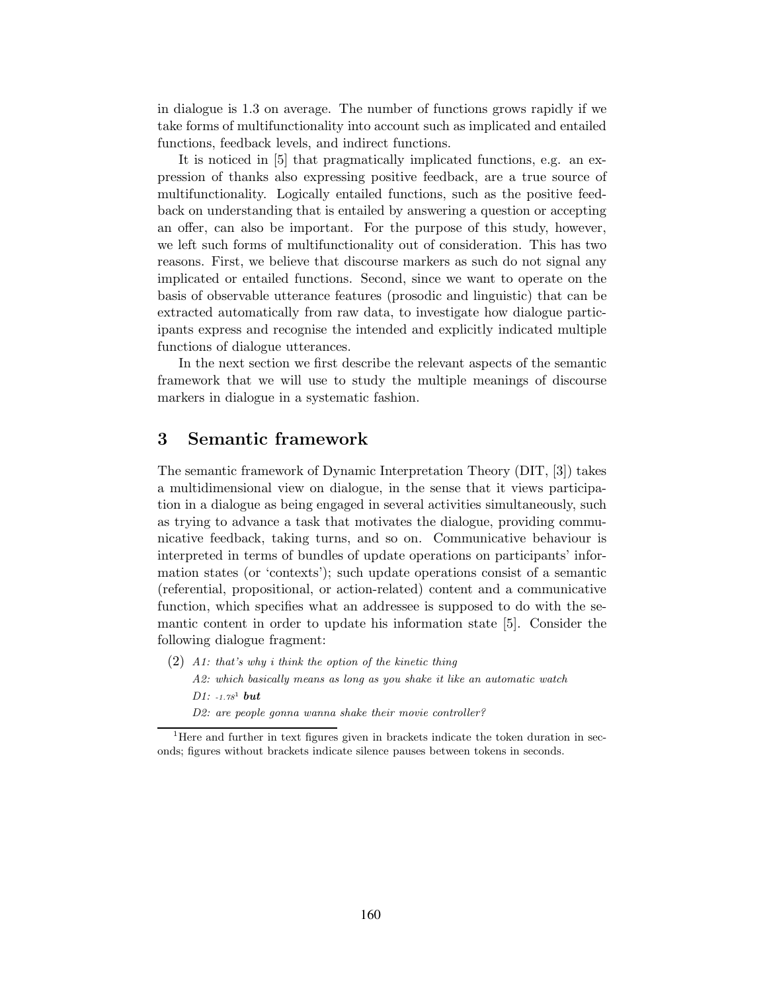in dialogue is 1.3 on average. The number of functions grows rapidly if we take forms of multifunctionality into account such as implicated and entailed functions, feedback levels, and indirect functions.

It is noticed in [5] that pragmatically implicated functions, e.g. an expression of thanks also expressing positive feedback, are a true source of multifunctionality. Logically entailed functions, such as the positive feedback on understanding that is entailed by answering a question or accepting an offer, can also be important. For the purpose of this study, however, we left such forms of multifunctionality out of consideration. This has two reasons. First, we believe that discourse markers as such do not signal any implicated or entailed functions. Second, since we want to operate on the basis of observable utterance features (prosodic and linguistic) that can be extracted automatically from raw data, to investigate how dialogue participants express and recognise the intended and explicitly indicated multiple functions of dialogue utterances.

In the next section we first describe the relevant aspects of the semantic framework that we will use to study the multiple meanings of discourse markers in dialogue in a systematic fashion.

## 3 Semantic framework

The semantic framework of Dynamic Interpretation Theory (DIT, [3]) takes a multidimensional view on dialogue, in the sense that it views participation in a dialogue as being engaged in several activities simultaneously, such as trying to advance a task that motivates the dialogue, providing communicative feedback, taking turns, and so on. Communicative behaviour is interpreted in terms of bundles of update operations on participants' information states (or 'contexts'); such update operations consist of a semantic (referential, propositional, or action-related) content and a communicative function, which specifies what an addressee is supposed to do with the semantic content in order to update his information state [5]. Consider the following dialogue fragment:

 $(2)$  A1: that's why i think the option of the kinetic thing A2: which basically means as long as you shake it like an automatic watch  $D1: -1.78$ <sup>1</sup> but D2: are people gonna wanna shake their movie controller?

<sup>&</sup>lt;sup>1</sup>Here and further in text figures given in brackets indicate the token duration in seconds; figures without brackets indicate silence pauses between tokens in seconds.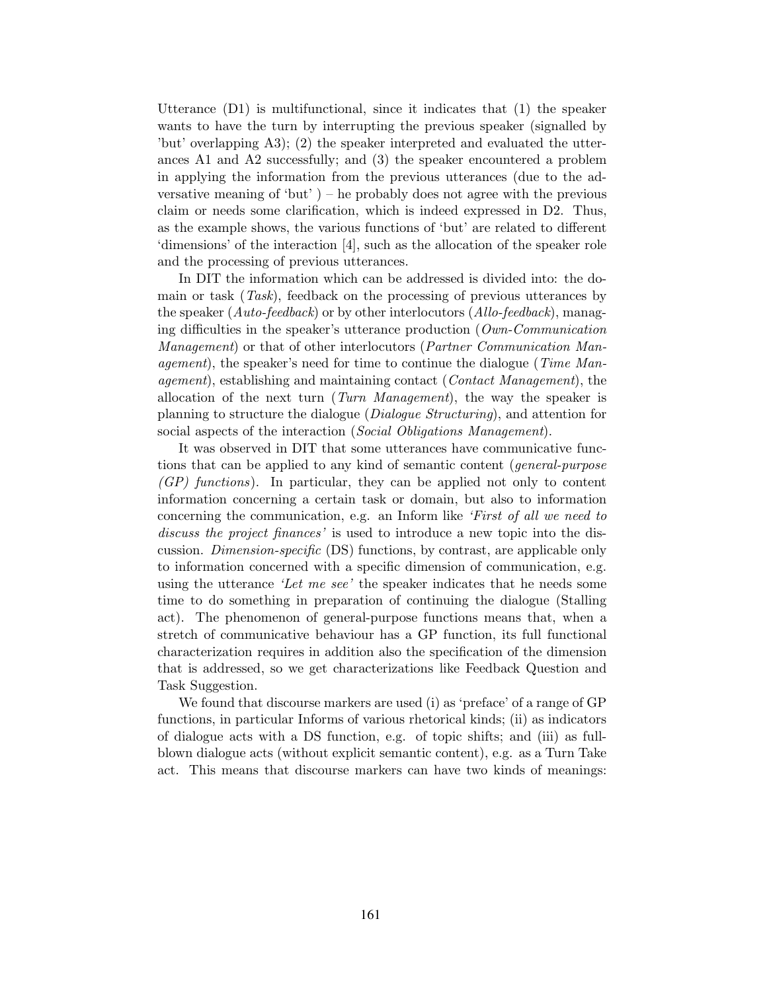Utterance (D1) is multifunctional, since it indicates that (1) the speaker wants to have the turn by interrupting the previous speaker (signalled by 'but' overlapping A3); (2) the speaker interpreted and evaluated the utterances A1 and A2 successfully; and (3) the speaker encountered a problem in applying the information from the previous utterances (due to the adversative meaning of 'but'  $)$  – he probably does not agree with the previous claim or needs some clarification, which is indeed expressed in D2. Thus, as the example shows, the various functions of 'but' are related to different 'dimensions' of the interaction [4], such as the allocation of the speaker role and the processing of previous utterances.

In DIT the information which can be addressed is divided into: the domain or task (Task), feedback on the processing of previous utterances by the speaker ( $Auto-feedback$ ) or by other interlocutors ( $Allo-feedback$ ), managing difficulties in the speaker's utterance production ( $\textit{Own-Communication}$ ) Management) or that of other interlocutors (Partner Communication Management), the speaker's need for time to continue the dialogue (*Time Man*agement), establishing and maintaining contact (Contact Management), the allocation of the next turn (Turn Management), the way the speaker is planning to structure the dialogue (Dialogue Structuring), and attention for social aspects of the interaction (Social Obligations Management).

It was observed in DIT that some utterances have communicative functions that can be applied to any kind of semantic content (general-purpose  $(GP)$  functions). In particular, they can be applied not only to content information concerning a certain task or domain, but also to information concerning the communication, e.g. an Inform like 'First of all we need to discuss the project finances' is used to introduce a new topic into the discussion. Dimension-specific (DS) functions, by contrast, are applicable only to information concerned with a specific dimension of communication, e.g. using the utterance 'Let me see' the speaker indicates that he needs some time to do something in preparation of continuing the dialogue (Stalling act). The phenomenon of general-purpose functions means that, when a stretch of communicative behaviour has a GP function, its full functional characterization requires in addition also the specification of the dimension that is addressed, so we get characterizations like Feedback Question and Task Suggestion.

We found that discourse markers are used (i) as 'preface' of a range of GP functions, in particular Informs of various rhetorical kinds; (ii) as indicators of dialogue acts with a DS function, e.g. of topic shifts; and (iii) as fullblown dialogue acts (without explicit semantic content), e.g. as a Turn Take act. This means that discourse markers can have two kinds of meanings: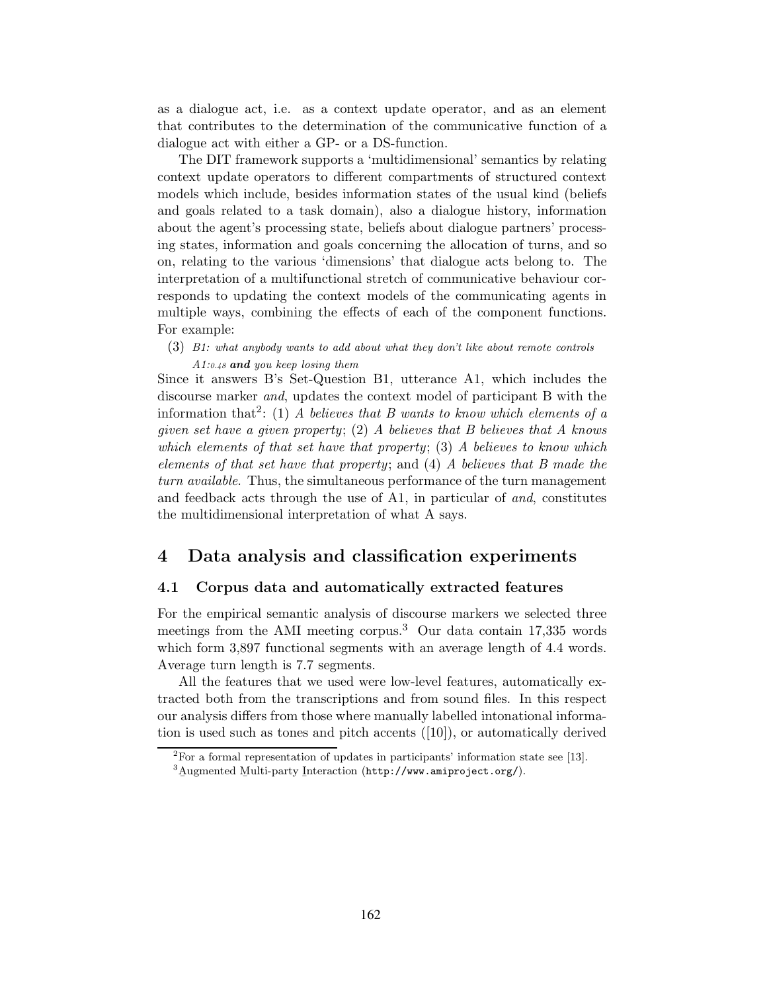as a dialogue act, i.e. as a context update operator, and as an element that contributes to the determination of the communicative function of a dialogue act with either a GP- or a DS-function.

The DIT framework supports a 'multidimensional' semantics by relating context update operators to different compartments of structured context models which include, besides information states of the usual kind (beliefs and goals related to a task domain), also a dialogue history, information about the agent's processing state, beliefs about dialogue partners' processing states, information and goals concerning the allocation of turns, and so on, relating to the various 'dimensions' that dialogue acts belong to. The interpretation of a multifunctional stretch of communicative behaviour corresponds to updating the context models of the communicating agents in multiple ways, combining the effects of each of the component functions. For example:

(3) B1: what anybody wants to add about what they don't like about remote controls  $A1:0.48$  and you keep losing them

Since it answers B's Set-Question B1, utterance A1, which includes the discourse marker and, updates the context model of participant B with the information that<sup>2</sup>: (1) A believes that B wants to know which elements of a given set have a given property; (2) A believes that B believes that A knows which elements of that set have that property; (3) A believes to know which elements of that set have that property; and (4) A believes that B made the turn available. Thus, the simultaneous performance of the turn management and feedback acts through the use of A1, in particular of and, constitutes the multidimensional interpretation of what A says.

## 4 Data analysis and classification experiments

#### 4.1 Corpus data and automatically extracted features

For the empirical semantic analysis of discourse markers we selected three meetings from the AMI meeting corpus.<sup>3</sup> Our data contain 17,335 words which form 3,897 functional segments with an average length of 4.4 words. Average turn length is 7.7 segments.

All the features that we used were low-level features, automatically extracted both from the transcriptions and from sound files. In this respect our analysis differs from those where manually labelled intonational information is used such as tones and pitch accents ([10]), or automatically derived

<sup>2</sup>For a formal representation of updates in participants' information state see [13].

 ${}^{3}$ Augmented Multi-party Interaction (http://www.amiproject.org/).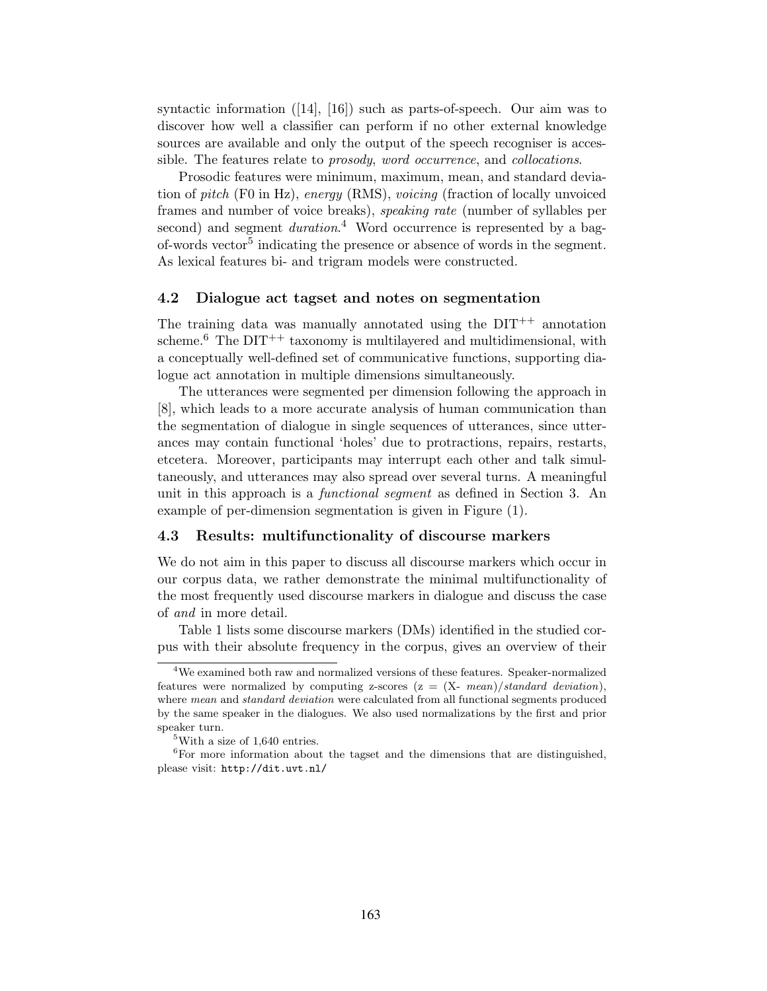syntactic information ([14], [16]) such as parts-of-speech. Our aim was to discover how well a classifier can perform if no other external knowledge sources are available and only the output of the speech recogniser is accessible. The features relate to prosody, word occurrence, and collocations.

Prosodic features were minimum, maximum, mean, and standard deviation of pitch (F0 in Hz), energy (RMS), voicing (fraction of locally unvoiced frames and number of voice breaks), speaking rate (number of syllables per second) and segment *duration*.<sup>4</sup> Word occurrence is represented by a bagof-words vector<sup>5</sup> indicating the presence or absence of words in the segment. As lexical features bi- and trigram models were constructed.

#### 4.2 Dialogue act tagset and notes on segmentation

The training data was manually annotated using the  $DIT^{++}$  annotation scheme.<sup>6</sup> The DIT<sup>++</sup> taxonomy is multilayered and multidimensional, with a conceptually well-defined set of communicative functions, supporting dialogue act annotation in multiple dimensions simultaneously.

The utterances were segmented per dimension following the approach in [8], which leads to a more accurate analysis of human communication than the segmentation of dialogue in single sequences of utterances, since utterances may contain functional 'holes' due to protractions, repairs, restarts, etcetera. Moreover, participants may interrupt each other and talk simultaneously, and utterances may also spread over several turns. A meaningful unit in this approach is a *functional segment* as defined in Section 3. An example of per-dimension segmentation is given in Figure (1).

#### 4.3 Results: multifunctionality of discourse markers

We do not aim in this paper to discuss all discourse markers which occur in our corpus data, we rather demonstrate the minimal multifunctionality of the most frequently used discourse markers in dialogue and discuss the case of and in more detail.

Table 1 lists some discourse markers (DMs) identified in the studied corpus with their absolute frequency in the corpus, gives an overview of their

<sup>4</sup>We examined both raw and normalized versions of these features. Speaker-normalized features were normalized by computing z-scores  $(z = (X - mean)/standard deviation)$ , where mean and standard deviation were calculated from all functional segments produced by the same speaker in the dialogues. We also used normalizations by the first and prior speaker turn.

<sup>5</sup>With a size of 1,640 entries.

 $^6\rm{For}$  more information about the tagset and the dimensions that are distinguished, please visit: http://dit.uvt.nl/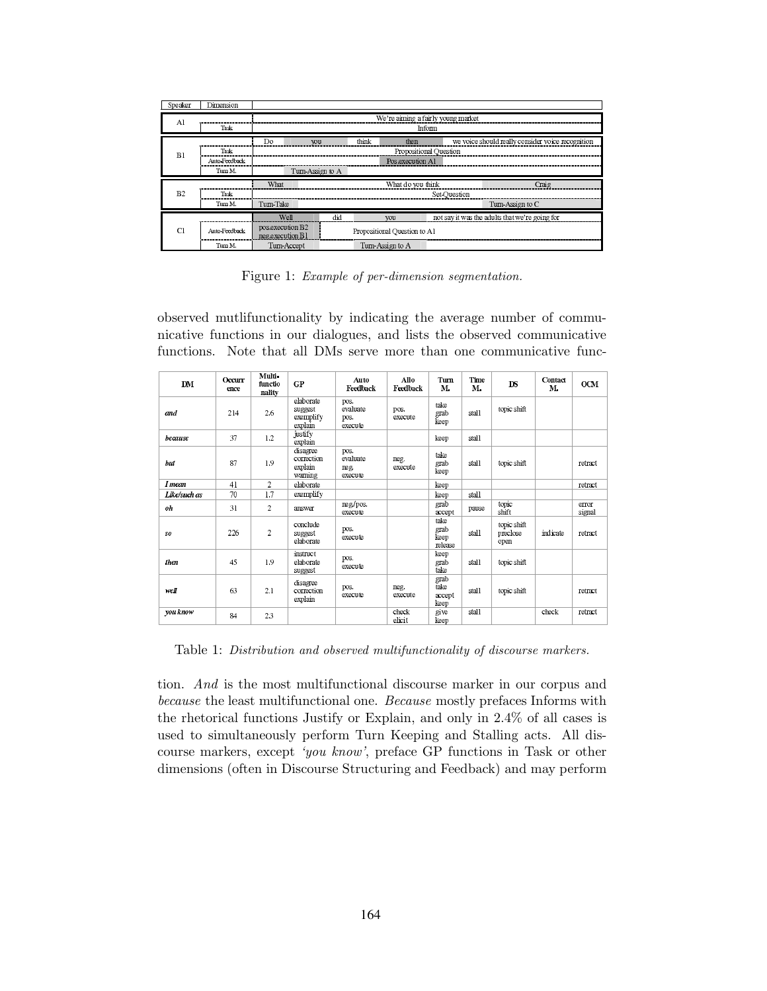| Speaker | Dimension     |                                              |    |                              |       |                  |       |                                                   |  |  |
|---------|---------------|----------------------------------------------|----|------------------------------|-------|------------------|-------|---------------------------------------------------|--|--|
| Al      | Task          | We're aiming a fairly young market<br>Inform |    |                              |       |                  |       |                                                   |  |  |
|         |               | <b>Do</b>                                    | wu |                              | think | then             |       | we voice should really consider voice recognition |  |  |
| B1      | Task          | Propositional Question                       |    |                              |       |                  |       |                                                   |  |  |
|         | Auto-Feedback |                                              |    |                              |       | Pos.execution A1 |       |                                                   |  |  |
|         | Turn M.       | Turn-Assign to A                             |    |                              |       |                  |       |                                                   |  |  |
|         |               | What                                         |    | What do you think            |       |                  | Craig |                                                   |  |  |
| B2      | Task          |                                              |    | Set-Ouestion                 |       |                  |       |                                                   |  |  |
|         | Turn M.       | Turn Take                                    |    |                              |       |                  |       | Turn Assign to C                                  |  |  |
|         |               | Well                                         |    | did                          |       | <b>VOII</b>      |       | not say it was the adults that we're going for    |  |  |
| CI.     | Auto Feedback | pos execution B2<br>neg execution B1         |    | Propositional Question to A1 |       |                  |       |                                                   |  |  |
|         | Turn M.       | Turn-Accept                                  |    |                              |       | Turn-Assign to A |       |                                                   |  |  |

Figure 1: Example of per-dimension segmentation.

observed mutlifunctionality by indicating the average number of communicative functions in our dialogues, and lists the observed communicative functions. Note that all DMs serve more than one communicative func-

| <b>DM</b>    | Occurr<br>ence | Multi-<br>functio<br>nality | <b>GP</b>                                    | Auto<br>Feedback                    | Allo<br>Feedback | Turn<br>M.                      | Time<br>M. | DS                              | Contact<br>M. | <b>OCM</b>      |
|--------------|----------------|-----------------------------|----------------------------------------------|-------------------------------------|------------------|---------------------------------|------------|---------------------------------|---------------|-----------------|
| and          | 214            | 2.6                         | elaborate<br>suggest<br>exemplify<br>explain | pos.<br>evaluate<br>pos.<br>execute | pos.<br>execute  | take<br>grab<br>keep            | stall      | topic shift                     |               |                 |
| because      | 37             | 1.2                         | justify<br>explain                           |                                     |                  | keep                            | stall      |                                 |               |                 |
| hut          | 87             | 1.9                         | disagree<br>correction<br>explain<br>warning | pos.<br>evaluate<br>neg.<br>execute | neg.<br>execute  | take<br>grab<br>keep            | stall      | topic shift                     |               | retract.        |
| I mean       | 41             | $\overline{c}$              | elaborate                                    |                                     |                  | keep                            |            |                                 |               | retract         |
| Like/such as | 70             | 1.7                         | exemplify                                    |                                     |                  | keep                            | stall      |                                 |               |                 |
| oh           | 31             | $\overline{2}$              | answer                                       | neg/pos.<br>execute                 |                  | grab<br>accept                  | pause      | topic<br>shift                  |               | error<br>signal |
| so           | 226            | $\overline{2}$              | conclude<br>suggest<br>elaborate             | pos.<br>execute                     |                  | take<br>grab<br>keep<br>release | stall      | topic shift<br>preclose<br>open | indicate      | retract         |
| then         | 45             | 1.9                         | instruct<br>elaborate<br>suggest             | pos.<br>execute                     |                  | keep<br>grab<br>take            | stall      | topic shift                     |               |                 |
| well         | 63             | 2.1                         | disagree<br>correction<br>explain            | pos.<br>execute                     | neg.<br>execute  | grab<br>take<br>accept<br>keep  | stall      | topic shift                     |               | retract         |
| you know     | 84             | 23                          |                                              |                                     | check<br>elicit  | give<br>keep                    | stall      |                                 | check         | retract         |

Table 1: Distribution and observed multifunctionality of discourse markers.

tion. And is the most multifunctional discourse marker in our corpus and because the least multifunctional one. Because mostly prefaces Informs with the rhetorical functions Justify or Explain, and only in 2.4% of all cases is used to simultaneously perform Turn Keeping and Stalling acts. All discourse markers, except 'you know', preface GP functions in Task or other dimensions (often in Discourse Structuring and Feedback) and may perform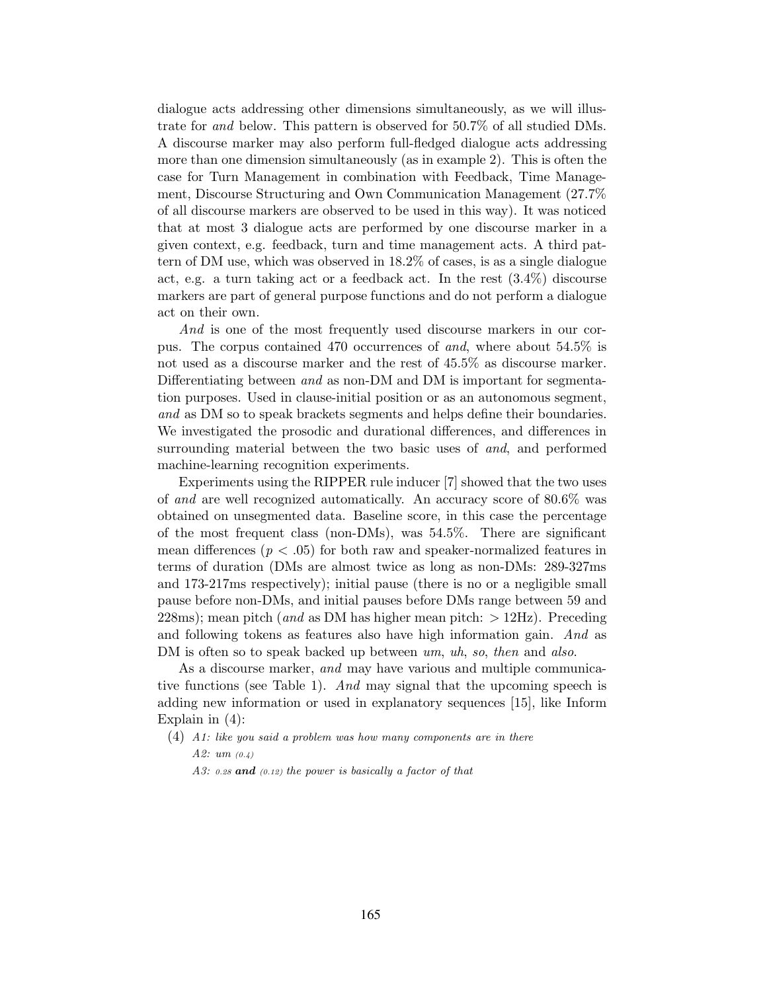dialogue acts addressing other dimensions simultaneously, as we will illustrate for and below. This pattern is observed for 50.7% of all studied DMs. A discourse marker may also perform full-fledged dialogue acts addressing more than one dimension simultaneously (as in example 2). This is often the case for Turn Management in combination with Feedback, Time Management, Discourse Structuring and Own Communication Management (27.7% of all discourse markers are observed to be used in this way). It was noticed that at most 3 dialogue acts are performed by one discourse marker in a given context, e.g. feedback, turn and time management acts. A third pattern of DM use, which was observed in 18.2% of cases, is as a single dialogue act, e.g. a turn taking act or a feedback act. In the rest (3.4%) discourse markers are part of general purpose functions and do not perform a dialogue act on their own.

And is one of the most frequently used discourse markers in our corpus. The corpus contained 470 occurrences of and, where about 54.5% is not used as a discourse marker and the rest of 45.5% as discourse marker. Differentiating between and as non-DM and DM is important for segmentation purposes. Used in clause-initial position or as an autonomous segment, and as DM so to speak brackets segments and helps define their boundaries. We investigated the prosodic and durational differences, and differences in surrounding material between the two basic uses of *and*, and performed machine-learning recognition experiments.

Experiments using the RIPPER rule inducer [7] showed that the two uses of and are well recognized automatically. An accuracy score of 80.6% was obtained on unsegmented data. Baseline score, in this case the percentage of the most frequent class (non-DMs), was 54.5%. There are significant mean differences ( $p < .05$ ) for both raw and speaker-normalized features in terms of duration (DMs are almost twice as long as non-DMs: 289-327ms and 173-217ms respectively); initial pause (there is no or a negligible small pause before non-DMs, and initial pauses before DMs range between 59 and  $228\,\text{ms}$ ; mean pitch (*and* as DM has higher mean pitch:  $> 12\,\text{Hz}$ ). Preceding and following tokens as features also have high information gain. And as DM is often so to speak backed up between um, uh, so, then and also.

As a discourse marker, and may have various and multiple communicative functions (see Table 1). And may signal that the upcoming speech is adding new information or used in explanatory sequences [15], like Inform Explain in (4):

- (4) A1: like you said a problem was how many components are in there A2:  $um (0.4)$ 
	- A3: 0.28 and  $(0.12)$  the power is basically a factor of that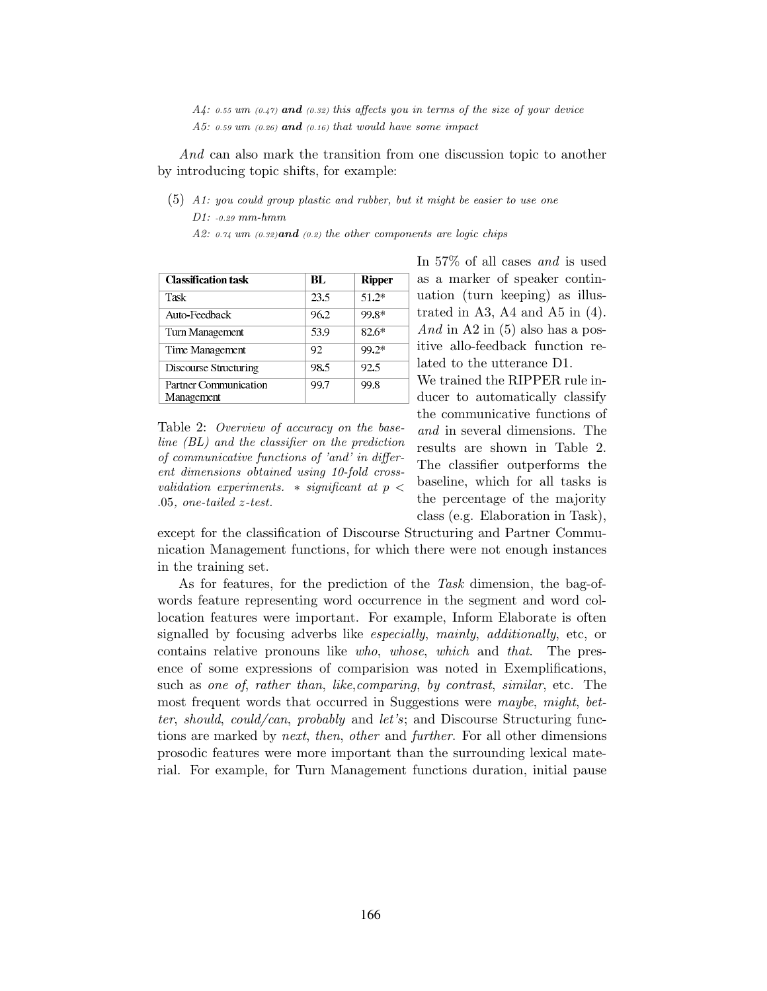$A4$ : 0.55 um (0.47) and (0.32) this affects you in terms of the size of your device A5: 0.59 um  $(0.26)$  and  $(0.16)$  that would have some impact

And can also mark the transition from one discussion topic to another by introducing topic shifts, for example:

(5) A1: you could group plastic and rubber, but it might be easier to use one D1: -0.29 mm-hmm

A2:  $0.74 \text{ um } (0.32)$  and  $(0.2)$  the other components are logic chips

| <b>Classification task</b>          | RL   | Ripper  |
|-------------------------------------|------|---------|
| Task                                | 23.5 | $51.2*$ |
| Auto-Feedback                       | 96.2 | 99.8*   |
| Turn Management                     | 53.9 | 82.6*   |
| Time Management                     | 92   | $99.2*$ |
| Discourse Structuring               | 98.5 | 92.5    |
| Partner Communication<br>Management | 99.7 | 99.8    |

Table 2: Overview of accuracy on the baseline (BL) and the classifier on the prediction of communicative functions of 'and' in different dimensions obtained using 10-fold crossvalidation experiments.  $*$  significant at  $p <$ .05, one-tailed z-test.

In 57% of all cases and is used as a marker of speaker continuation (turn keeping) as illustrated in A3, A4 and A5 in  $(4)$ . And in A2 in  $(5)$  also has a positive allo-feedback function related to the utterance D1.

We trained the RIPPER rule inducer to automatically classify the communicative functions of and in several dimensions. The results are shown in Table 2. The classifier outperforms the baseline, which for all tasks is the percentage of the majority class (e.g. Elaboration in Task),

except for the classification of Discourse Structuring and Partner Communication Management functions, for which there were not enough instances in the training set.

As for features, for the prediction of the Task dimension, the bag-ofwords feature representing word occurrence in the segment and word collocation features were important. For example, Inform Elaborate is often signalled by focusing adverbs like especially, mainly, additionally, etc, or contains relative pronouns like who, whose, which and that. The presence of some expressions of comparision was noted in Exemplifications, such as one of, rather than, like,comparing, by contrast, similar, etc. The most frequent words that occurred in Suggestions were maybe, might, better, should, could/can, probably and let's; and Discourse Structuring functions are marked by *next*, then, other and further. For all other dimensions prosodic features were more important than the surrounding lexical material. For example, for Turn Management functions duration, initial pause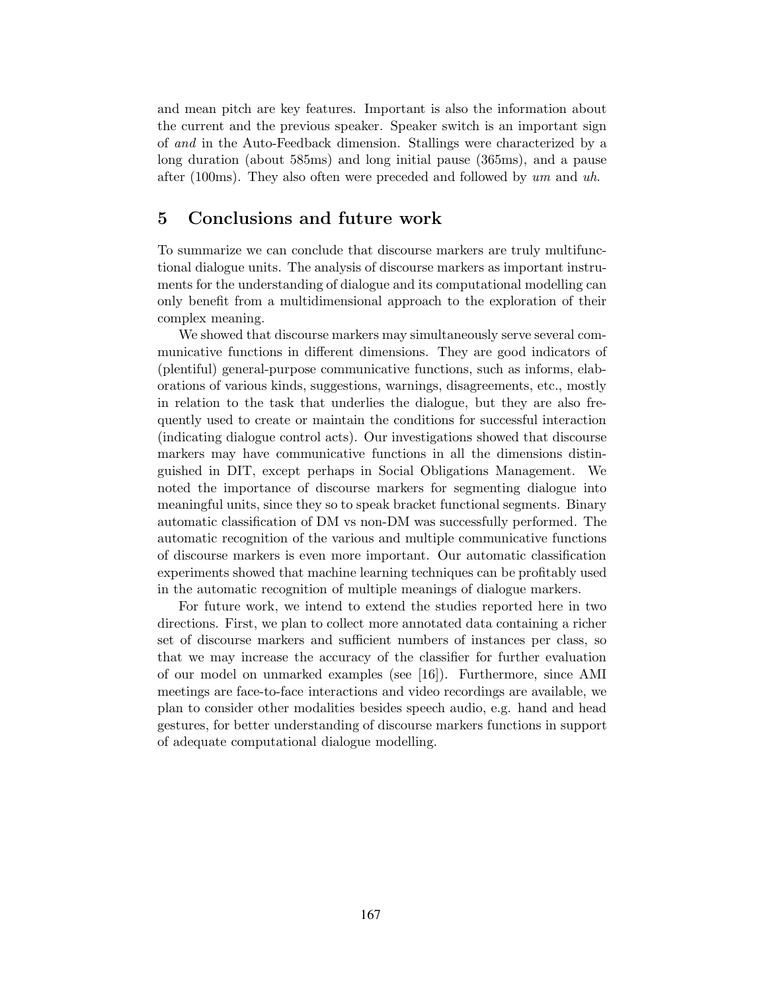and mean pitch are key features. Important is also the information about the current and the previous speaker. Speaker switch is an important sign of and in the Auto-Feedback dimension. Stallings were characterized by a long duration (about 585ms) and long initial pause (365ms), and a pause after (100ms). They also often were preceded and followed by  $um$  and  $uh$ .

## 5 Conclusions and future work

To summarize we can conclude that discourse markers are truly multifunctional dialogue units. The analysis of discourse markers as important instruments for the understanding of dialogue and its computational modelling can only benefit from a multidimensional approach to the exploration of their complex meaning.

We showed that discourse markers may simultaneously serve several communicative functions in different dimensions. They are good indicators of (plentiful) general-purpose communicative functions, such as informs, elaborations of various kinds, suggestions, warnings, disagreements, etc., mostly in relation to the task that underlies the dialogue, but they are also frequently used to create or maintain the conditions for successful interaction (indicating dialogue control acts). Our investigations showed that discourse markers may have communicative functions in all the dimensions distinguished in DIT, except perhaps in Social Obligations Management. We noted the importance of discourse markers for segmenting dialogue into meaningful units, since they so to speak bracket functional segments. Binary automatic classification of DM vs non-DM was successfully performed. The automatic recognition of the various and multiple communicative functions of discourse markers is even more important. Our automatic classification experiments showed that machine learning techniques can be profitably used in the automatic recognition of multiple meanings of dialogue markers.

For future work, we intend to extend the studies reported here in two directions. First, we plan to collect more annotated data containing a richer set of discourse markers and sufficient numbers of instances per class, so that we may increase the accuracy of the classifier for further evaluation of our model on unmarked examples (see [16]). Furthermore, since AMI meetings are face-to-face interactions and video recordings are available, we plan to consider other modalities besides speech audio, e.g. hand and head gestures, for better understanding of discourse markers functions in support of adequate computational dialogue modelling.